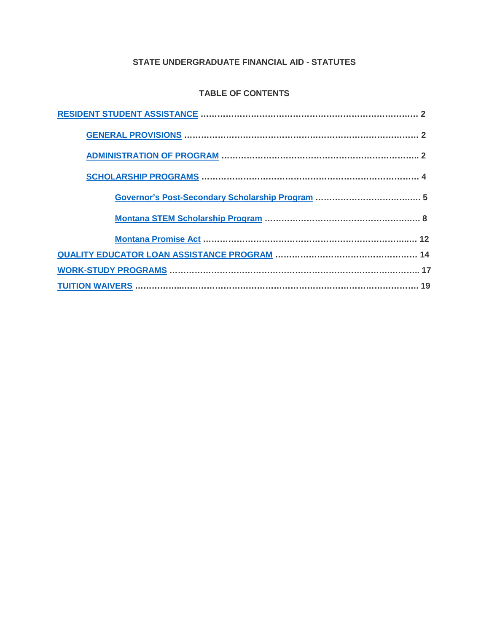## **STATE UNDERGRADUATE FINANCIAL AID - STATUTES**

# **TABLE OF CONTENTS**

<span id="page-0-9"></span><span id="page-0-8"></span><span id="page-0-7"></span><span id="page-0-6"></span><span id="page-0-5"></span><span id="page-0-4"></span><span id="page-0-3"></span><span id="page-0-2"></span><span id="page-0-1"></span><span id="page-0-0"></span>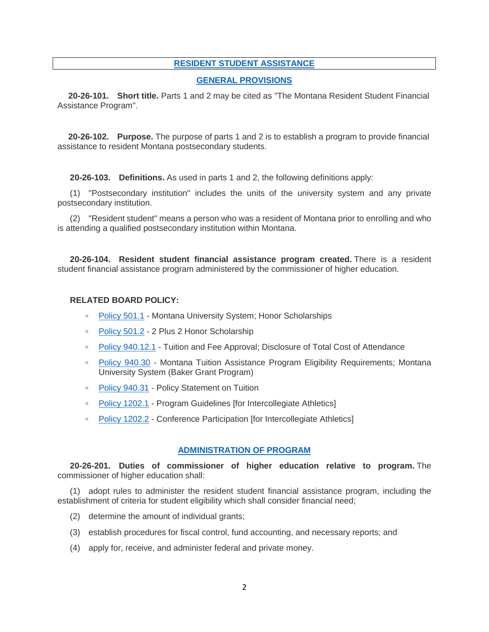### <span id="page-1-0"></span>**[RESIDENT STUDENT ASSISTANCE](#page-0-0)**

#### <span id="page-1-1"></span>**[GENERAL PROVISIONS](#page-0-1)**

**20-26-101. Short title.** Parts 1 and 2 may be cited as "The Montana Resident Student Financial Assistance Program".

**20-26-102. Purpose.** The purpose of parts 1 and 2 is to establish a program to provide financial assistance to resident Montana postsecondary students.

**20-26-103. Definitions.** As used in parts 1 and 2, the following definitions apply:

(1) "Postsecondary institution" includes the units of the university system and any private postsecondary institution.

(2) "Resident student" means a person who was a resident of Montana prior to enrolling and who is attending a qualified postsecondary institution within Montana.

**20-26-104. Resident student financial assistance program created.** There is a resident student financial assistance program administered by the commissioner of higher education.

#### **RELATED BOARD POLICY:**

- [Policy 501.1](http://mus.edu/borpol/bor500/501-1.pdf) Montana University System; Honor Scholarships
- [Policy 501.2](http://mus.edu/borpol/bor500/501-2.pdf) 2 Plus 2 Honor Scholarship
- [Policy 940.12.1](http://mus.edu/borpol/bor900/940-12-1.pdf) Tuition and Fee Approval; Disclosure of Total Cost of Attendance
- [Policy 940.30](http://mus.edu/borpol/bor900/940-30.pdf) Montana Tuition Assistance Program Eligibility Requirements; Montana University System (Baker Grant Program)
- [Policy 940.31](http://mus.edu/borpol/bor900/940-31.pdf) Policy Statement on Tuition
- □ [Policy 1202.1](http://mus.edu/borpol/bor1200/1202-1.pdf) Program Guidelines [for Intercollegiate Athletics]
- [Policy 1202.2](http://mus.edu/borpol/bor1200/1202-2.pdf) Conference Participation [for Intercollegiate Athletics]

#### <span id="page-1-2"></span>**[ADMINISTRATION OF PROGRAM](#page-0-2)**

**20-26-201. Duties of commissioner of higher education relative to program.** The commissioner of higher education shall:

(1) adopt rules to administer the resident student financial assistance program, including the establishment of criteria for student eligibility which shall consider financial need;

- (2) determine the amount of individual grants;
- (3) establish procedures for fiscal control, fund accounting, and necessary reports; and
- (4) apply for, receive, and administer federal and private money.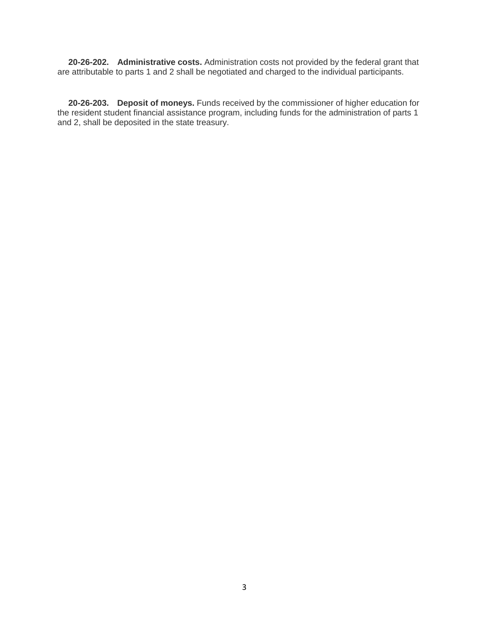**20-26-202. Administrative costs.** Administration costs not provided by the federal grant that are attributable to parts 1 and 2 shall be negotiated and charged to the individual participants.

**20-26-203. Deposit of moneys.** Funds received by the commissioner of higher education for the resident student financial assistance program, including funds for the administration of parts 1 and 2, shall be deposited in the state treasury.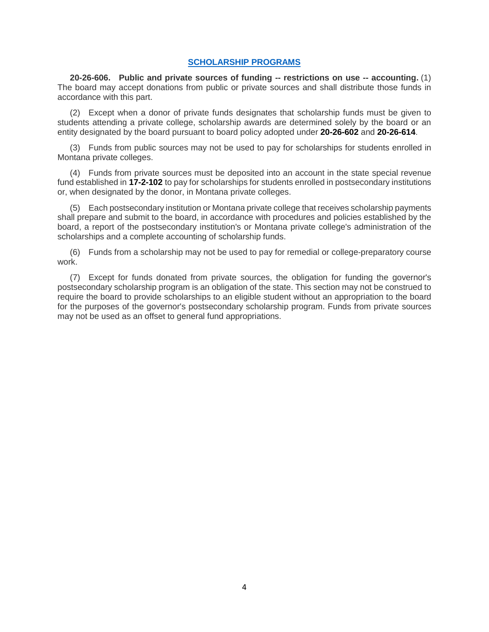### <span id="page-3-0"></span>**[SCHOLARSHIP PROGRAMS](#page-0-3)**

**20-26-606. Public and private sources of funding -- restrictions on use -- accounting.** (1) The board may accept donations from public or private sources and shall distribute those funds in accordance with this part.

(2) Except when a donor of private funds designates that scholarship funds must be given to students attending a private college, scholarship awards are determined solely by the board or an entity designated by the board pursuant to board policy adopted under **[20-26-602](http://leg.mt.gov/bills/mca/title_0200/chapter_0260/part_0060/section_0020/0200-0260-0060-0020.html)** and **[20-26-614](http://leg.mt.gov/bills/mca/title_0200/chapter_0260/part_0060/section_0140/0200-0260-0060-0140.html)**.

(3) Funds from public sources may not be used to pay for scholarships for students enrolled in Montana private colleges.

(4) Funds from private sources must be deposited into an account in the state special revenue fund established in **[17-2-102](http://leg.mt.gov/bills/mca/title_0170/chapter_0020/part_0010/section_0020/0170-0020-0010-0020.html)** to pay for scholarships for students enrolled in postsecondary institutions or, when designated by the donor, in Montana private colleges.

(5) Each postsecondary institution or Montana private college that receives scholarship payments shall prepare and submit to the board, in accordance with procedures and policies established by the board, a report of the postsecondary institution's or Montana private college's administration of the scholarships and a complete accounting of scholarship funds.

(6) Funds from a scholarship may not be used to pay for remedial or college-preparatory course work.

(7) Except for funds donated from private sources, the obligation for funding the governor's postsecondary scholarship program is an obligation of the state. This section may not be construed to require the board to provide scholarships to an eligible student without an appropriation to the board for the purposes of the governor's postsecondary scholarship program. Funds from private sources may not be used as an offset to general fund appropriations.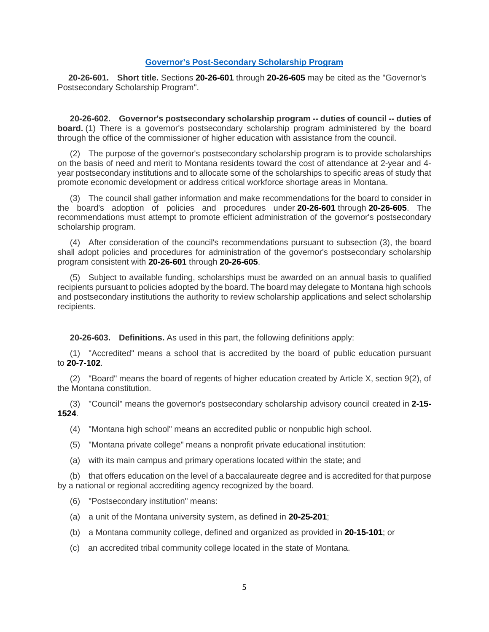### <span id="page-4-0"></span>**[Governor's Post-Secondary Scholarship Program](#page-0-4)**

**20-26-601. Short title.** Sections **[20-26-601](http://leg.mt.gov/bills/mca/title_0200/chapter_0260/part_0060/section_0010/None)** through **[20-26-605](http://leg.mt.gov/bills/mca/title_0200/chapter_0260/part_0060/section_0050/0200-0260-0060-0050.html)** may be cited as the "Governor's Postsecondary Scholarship Program".

**20-26-602. Governor's postsecondary scholarship program -- duties of council -- duties of board.** (1) There is a governor's postsecondary scholarship program administered by the board through the office of the commissioner of higher education with assistance from the council.

(2) The purpose of the governor's postsecondary scholarship program is to provide scholarships on the basis of need and merit to Montana residents toward the cost of attendance at 2-year and 4 year postsecondary institutions and to allocate some of the scholarships to specific areas of study that promote economic development or address critical workforce shortage areas in Montana.

(3) The council shall gather information and make recommendations for the board to consider in the board's adoption of policies and procedures under **[20-26-601](http://leg.mt.gov/bills/mca/title_0200/chapter_0260/part_0060/section_0010/0200-0260-0060-0010.html)** through **[20-26-605](http://leg.mt.gov/bills/mca/title_0200/chapter_0260/part_0060/section_0050/0200-0260-0060-0050.html)**. The recommendations must attempt to promote efficient administration of the governor's postsecondary scholarship program.

(4) After consideration of the council's recommendations pursuant to subsection (3), the board shall adopt policies and procedures for administration of the governor's postsecondary scholarship program consistent with **[20-26-601](http://leg.mt.gov/bills/mca/title_0200/chapter_0260/part_0060/section_0010/0200-0260-0060-0010.html)** through **[20-26-605](http://leg.mt.gov/bills/mca/title_0200/chapter_0260/part_0060/section_0050/0200-0260-0060-0050.html)**.

(5) Subject to available funding, scholarships must be awarded on an annual basis to qualified recipients pursuant to policies adopted by the board. The board may delegate to Montana high schools and postsecondary institutions the authority to review scholarship applications and select scholarship recipients.

**20-26-603. Definitions.** As used in this part, the following definitions apply:

(1) "Accredited" means a school that is accredited by the board of public education pursuant to **[20-7-102](http://leg.mt.gov/bills/mca/title_0200/chapter_0070/part_0010/section_0020/0200-0070-0010-0020.html)**.

(2) "Board" means the board of regents of higher education created by Article X, section 9(2), of the Montana constitution.

(3) "Council" means the governor's postsecondary scholarship advisory council created in **[2-15-](http://leg.mt.gov/bills/mca/title_0020/chapter_0150/part_0150/section_0240/0020-0150-0150-0240.html) [1524](http://leg.mt.gov/bills/mca/title_0020/chapter_0150/part_0150/section_0240/0020-0150-0150-0240.html)**.

(4) "Montana high school" means an accredited public or nonpublic high school.

- (5) "Montana private college" means a nonprofit private educational institution:
- (a) with its main campus and primary operations located within the state; and

(b) that offers education on the level of a baccalaureate degree and is accredited for that purpose by a national or regional accrediting agency recognized by the board.

- (6) "Postsecondary institution" means:
- (a) a unit of the Montana university system, as defined in **[20-25-201](http://leg.mt.gov/bills/mca/title_0200/chapter_0250/part_0020/section_0010/0200-0250-0020-0010.html)**;
- (b) a Montana community college, defined and organized as provided in **[20-15-101](http://leg.mt.gov/bills/mca/title_0200/chapter_0150/part_0010/section_0010/0200-0150-0010-0010.html)**; or
- (c) an accredited tribal community college located in the state of Montana.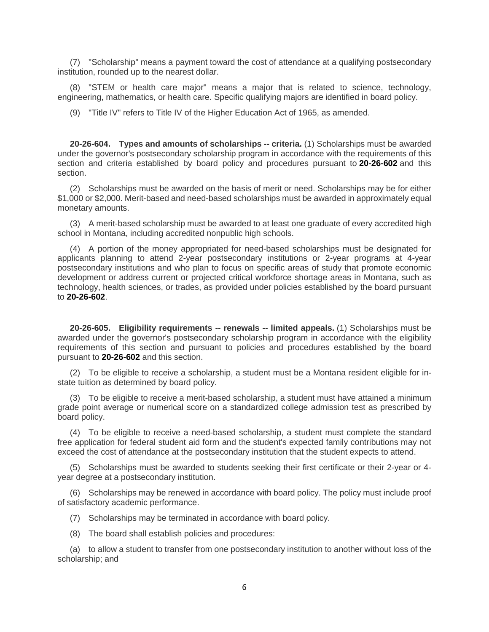(7) "Scholarship" means a payment toward the cost of attendance at a qualifying postsecondary institution, rounded up to the nearest dollar.

(8) "STEM or health care major" means a major that is related to science, technology, engineering, mathematics, or health care. Specific qualifying majors are identified in board policy.

(9) "Title IV" refers to Title IV of the Higher Education Act of 1965, as amended.

**20-26-604. Types and amounts of scholarships -- criteria.** (1) Scholarships must be awarded under the governor's postsecondary scholarship program in accordance with the requirements of this section and criteria established by board policy and procedures pursuant to **[20-26-602](http://leg.mt.gov/bills/mca/title_0200/chapter_0260/part_0060/section_0020/0200-0260-0060-0020.html)** and this section.

(2) Scholarships must be awarded on the basis of merit or need. Scholarships may be for either \$1,000 or \$2,000. Merit-based and need-based scholarships must be awarded in approximately equal monetary amounts.

(3) A merit-based scholarship must be awarded to at least one graduate of every accredited high school in Montana, including accredited nonpublic high schools.

(4) A portion of the money appropriated for need-based scholarships must be designated for applicants planning to attend 2-year postsecondary institutions or 2-year programs at 4-year postsecondary institutions and who plan to focus on specific areas of study that promote economic development or address current or projected critical workforce shortage areas in Montana, such as technology, health sciences, or trades, as provided under policies established by the board pursuant to **[20-26-602](http://leg.mt.gov/bills/mca/title_0200/chapter_0260/part_0060/section_0020/0200-0260-0060-0020.html)**.

**20-26-605. Eligibility requirements -- renewals -- limited appeals.** (1) Scholarships must be awarded under the governor's postsecondary scholarship program in accordance with the eligibility requirements of this section and pursuant to policies and procedures established by the board pursuant to **[20-26-602](http://leg.mt.gov/bills/mca/title_0200/chapter_0260/part_0060/section_0020/0200-0260-0060-0020.html)** and this section.

(2) To be eligible to receive a scholarship, a student must be a Montana resident eligible for instate tuition as determined by board policy.

(3) To be eligible to receive a merit-based scholarship, a student must have attained a minimum grade point average or numerical score on a standardized college admission test as prescribed by board policy.

(4) To be eligible to receive a need-based scholarship, a student must complete the standard free application for federal student aid form and the student's expected family contributions may not exceed the cost of attendance at the postsecondary institution that the student expects to attend.

(5) Scholarships must be awarded to students seeking their first certificate or their 2-year or 4 year degree at a postsecondary institution.

(6) Scholarships may be renewed in accordance with board policy. The policy must include proof of satisfactory academic performance.

(7) Scholarships may be terminated in accordance with board policy.

(8) The board shall establish policies and procedures:

(a) to allow a student to transfer from one postsecondary institution to another without loss of the scholarship; and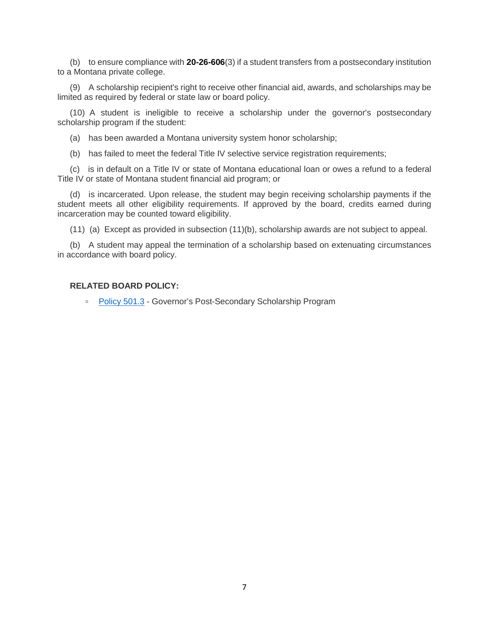(b) to ensure compliance with **[20-26-606](http://leg.mt.gov/bills/mca/title_0200/chapter_0260/part_0060/section_0060/0200-0260-0060-0060.html)**(3) if a student transfers from a postsecondary institution to a Montana private college.

(9) A scholarship recipient's right to receive other financial aid, awards, and scholarships may be limited as required by federal or state law or board policy.

(10) A student is ineligible to receive a scholarship under the governor's postsecondary scholarship program if the student:

(a) has been awarded a Montana university system honor scholarship;

(b) has failed to meet the federal Title IV selective service registration requirements;

(c) is in default on a Title IV or state of Montana educational loan or owes a refund to a federal Title IV or state of Montana student financial aid program; or

(d) is incarcerated. Upon release, the student may begin receiving scholarship payments if the student meets all other eligibility requirements. If approved by the board, credits earned during incarceration may be counted toward eligibility.

(11) (a) Except as provided in subsection (11)(b), scholarship awards are not subject to appeal.

(b) A student may appeal the termination of a scholarship based on extenuating circumstances in accordance with board policy.

### **RELATED BOARD POLICY:**

□ [Policy 501.3](http://mus.edu/borpol/bor500/501-3.pdf) - Governor's Post-Secondary Scholarship Program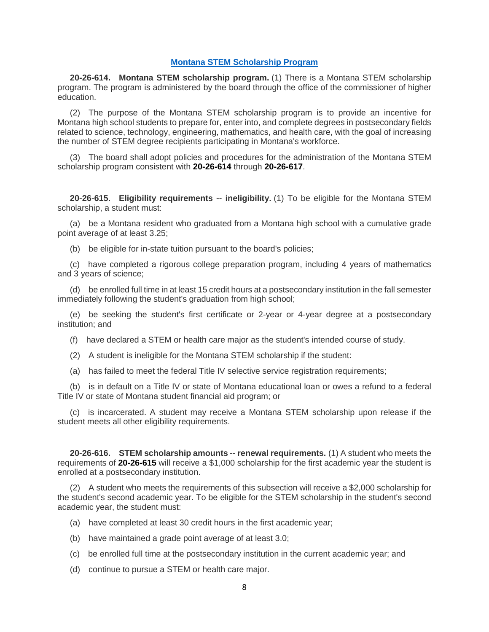### <span id="page-7-0"></span>**[Montana STEM Scholarship Program](#page-0-5)**

**20-26-614. Montana STEM scholarship program.** (1) There is a Montana STEM scholarship program. The program is administered by the board through the office of the commissioner of higher education.

(2) The purpose of the Montana STEM scholarship program is to provide an incentive for Montana high school students to prepare for, enter into, and complete degrees in postsecondary fields related to science, technology, engineering, mathematics, and health care, with the goal of increasing the number of STEM degree recipients participating in Montana's workforce.

(3) The board shall adopt policies and procedures for the administration of the Montana STEM scholarship program consistent with **[20-26-614](http://leg.mt.gov/bills/mca/title_0200/chapter_0260/part_0060/section_0140/None)** through **[20-26-617](http://leg.mt.gov/bills/mca/title_0200/chapter_0260/part_0060/section_0170/0200-0260-0060-0170.html)**.

**20-26-615. Eligibility requirements -- ineligibility.** (1) To be eligible for the Montana STEM scholarship, a student must:

(a) be a Montana resident who graduated from a Montana high school with a cumulative grade point average of at least 3.25;

(b) be eligible for in-state tuition pursuant to the board's policies;

(c) have completed a rigorous college preparation program, including 4 years of mathematics and 3 years of science;

(d) be enrolled full time in at least 15 credit hours at a postsecondary institution in the fall semester immediately following the student's graduation from high school;

(e) be seeking the student's first certificate or 2-year or 4-year degree at a postsecondary institution; and

(f) have declared a STEM or health care major as the student's intended course of study.

(2) A student is ineligible for the Montana STEM scholarship if the student:

(a) has failed to meet the federal Title IV selective service registration requirements;

(b) is in default on a Title IV or state of Montana educational loan or owes a refund to a federal Title IV or state of Montana student financial aid program; or

(c) is incarcerated. A student may receive a Montana STEM scholarship upon release if the student meets all other eligibility requirements.

**20-26-616. STEM scholarship amounts -- renewal requirements.** (1) A student who meets the requirements of **[20-26-615](http://leg.mt.gov/bills/mca/title_0200/chapter_0260/part_0060/section_0150/0200-0260-0060-0150.html)** will receive a \$1,000 scholarship for the first academic year the student is enrolled at a postsecondary institution.

(2) A student who meets the requirements of this subsection will receive a \$2,000 scholarship for the student's second academic year. To be eligible for the STEM scholarship in the student's second academic year, the student must:

- (a) have completed at least 30 credit hours in the first academic year;
- (b) have maintained a grade point average of at least 3.0;
- (c) be enrolled full time at the postsecondary institution in the current academic year; and
- (d) continue to pursue a STEM or health care major.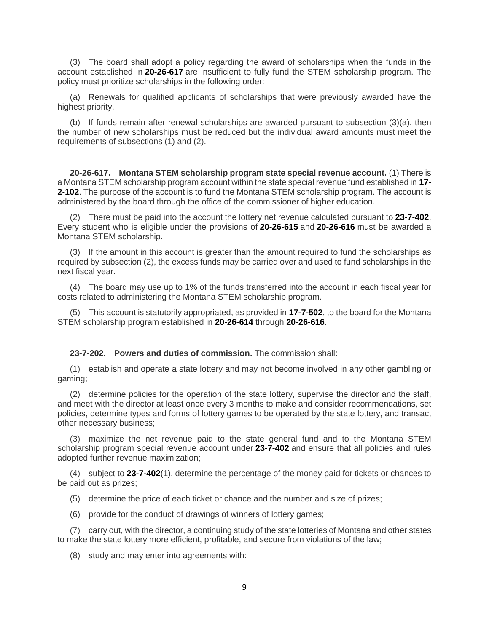(3) The board shall adopt a policy regarding the award of scholarships when the funds in the account established in **[20-26-617](http://leg.mt.gov/bills/mca/title_0200/chapter_0260/part_0060/section_0170/0200-0260-0060-0170.html)** are insufficient to fully fund the STEM scholarship program. The policy must prioritize scholarships in the following order:

(a) Renewals for qualified applicants of scholarships that were previously awarded have the highest priority.

(b) If funds remain after renewal scholarships are awarded pursuant to subsection (3)(a), then the number of new scholarships must be reduced but the individual award amounts must meet the requirements of subsections (1) and (2).

**20-26-617. Montana STEM scholarship program state special revenue account.** (1) There is a Montana STEM scholarship program account within the state special revenue fund established in **[17-](http://leg.mt.gov/bills/mca/title_0170/chapter_0020/part_0010/section_0020/0170-0020-0010-0020.html) [2-102](http://leg.mt.gov/bills/mca/title_0170/chapter_0020/part_0010/section_0020/0170-0020-0010-0020.html)**. The purpose of the account is to fund the Montana STEM scholarship program. The account is administered by the board through the office of the commissioner of higher education.

(2) There must be paid into the account the lottery net revenue calculated pursuant to **[23-7-402](http://leg.mt.gov/bills/mca/title_0230/chapter_0070/part_0040/section_0020/0230-0070-0040-0020.html)**. Every student who is eligible under the provisions of **[20-26-615](http://leg.mt.gov/bills/mca/title_0200/chapter_0260/part_0060/section_0150/0200-0260-0060-0150.html)** and **[20-26-616](http://leg.mt.gov/bills/mca/title_0200/chapter_0260/part_0060/section_0160/0200-0260-0060-0160.html)** must be awarded a Montana STEM scholarship.

(3) If the amount in this account is greater than the amount required to fund the scholarships as required by subsection (2), the excess funds may be carried over and used to fund scholarships in the next fiscal year.

(4) The board may use up to 1% of the funds transferred into the account in each fiscal year for costs related to administering the Montana STEM scholarship program.

(5) This account is statutorily appropriated, as provided in **[17-7-502](http://leg.mt.gov/bills/mca/title_0170/chapter_0070/part_0050/section_0020/0170-0070-0050-0020.html)**, to the board for the Montana STEM scholarship program established in **[20-26-614](http://leg.mt.gov/bills/mca/title_0200/chapter_0260/part_0060/section_0140/0200-0260-0060-0140.html)** through **[20-26-616](http://leg.mt.gov/bills/mca/title_0200/chapter_0260/part_0060/section_0160/0200-0260-0060-0160.html)**.

#### **23-7-202. Powers and duties of commission.** The commission shall:

(1) establish and operate a state lottery and may not become involved in any other gambling or gaming;

(2) determine policies for the operation of the state lottery, supervise the director and the staff, and meet with the director at least once every 3 months to make and consider recommendations, set policies, determine types and forms of lottery games to be operated by the state lottery, and transact other necessary business;

(3) maximize the net revenue paid to the state general fund and to the Montana STEM scholarship program special revenue account under **[23-7-402](http://leg.mt.gov/bills/mca/title_0230/chapter_0070/part_0040/section_0020/0230-0070-0040-0020.html)** and ensure that all policies and rules adopted further revenue maximization;

(4) subject to **[23-7-402](http://leg.mt.gov/bills/mca/title_0230/chapter_0070/part_0040/section_0020/0230-0070-0040-0020.html)**(1), determine the percentage of the money paid for tickets or chances to be paid out as prizes;

- (5) determine the price of each ticket or chance and the number and size of prizes;
- (6) provide for the conduct of drawings of winners of lottery games;

(7) carry out, with the director, a continuing study of the state lotteries of Montana and other states to make the state lottery more efficient, profitable, and secure from violations of the law;

(8) study and may enter into agreements with: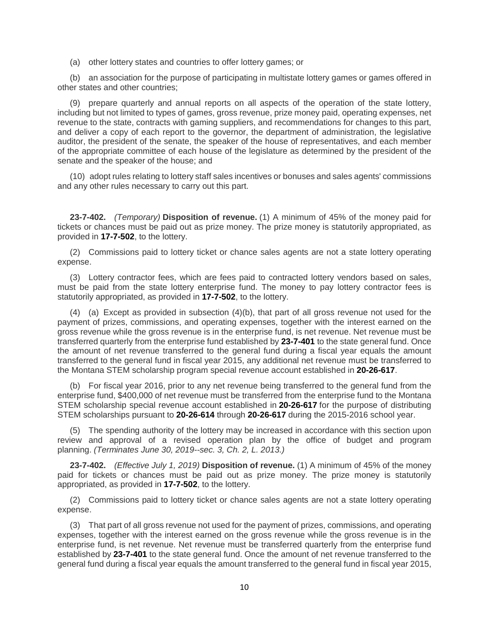(a) other lottery states and countries to offer lottery games; or

(b) an association for the purpose of participating in multistate lottery games or games offered in other states and other countries;

(9) prepare quarterly and annual reports on all aspects of the operation of the state lottery, including but not limited to types of games, gross revenue, prize money paid, operating expenses, net revenue to the state, contracts with gaming suppliers, and recommendations for changes to this part, and deliver a copy of each report to the governor, the department of administration, the legislative auditor, the president of the senate, the speaker of the house of representatives, and each member of the appropriate committee of each house of the legislature as determined by the president of the senate and the speaker of the house; and

(10) adopt rules relating to lottery staff sales incentives or bonuses and sales agents' commissions and any other rules necessary to carry out this part.

**23-7-402.** *(Temporary)* **Disposition of revenue.** (1) A minimum of 45% of the money paid for tickets or chances must be paid out as prize money. The prize money is statutorily appropriated, as provided in **[17-7-502](http://leg.mt.gov/bills/mca/title_0170/chapter_0070/part_0050/section_0020/0170-0070-0050-0020.html)**, to the lottery.

(2) Commissions paid to lottery ticket or chance sales agents are not a state lottery operating expense.

(3) Lottery contractor fees, which are fees paid to contracted lottery vendors based on sales, must be paid from the state lottery enterprise fund. The money to pay lottery contractor fees is statutorily appropriated, as provided in **[17-7-502](http://leg.mt.gov/bills/mca/title_0170/chapter_0070/part_0050/section_0020/0170-0070-0050-0020.html)**, to the lottery.

(4) (a) Except as provided in subsection (4)(b), that part of all gross revenue not used for the payment of prizes, commissions, and operating expenses, together with the interest earned on the gross revenue while the gross revenue is in the enterprise fund, is net revenue. Net revenue must be transferred quarterly from the enterprise fund established by **[23-7-401](http://leg.mt.gov/bills/mca/title_0230/chapter_0070/part_0040/section_0010/0230-0070-0040-0010.html)** to the state general fund. Once the amount of net revenue transferred to the general fund during a fiscal year equals the amount transferred to the general fund in fiscal year 2015, any additional net revenue must be transferred to the Montana STEM scholarship program special revenue account established in **[20-26-617](http://leg.mt.gov/bills/mca/title_0200/chapter_0260/part_0060/section_0170/0200-0260-0060-0170.html)**.

(b) For fiscal year 2016, prior to any net revenue being transferred to the general fund from the enterprise fund, \$400,000 of net revenue must be transferred from the enterprise fund to the Montana STEM scholarship special revenue account established in **[20-26-617](http://leg.mt.gov/bills/mca/title_0200/chapter_0260/part_0060/section_0170/0200-0260-0060-0170.html)** for the purpose of distributing STEM scholarships pursuant to **[20-26-614](http://leg.mt.gov/bills/mca/title_0200/chapter_0260/part_0060/section_0140/0200-0260-0060-0140.html)** through **[20-26-617](http://leg.mt.gov/bills/mca/title_0200/chapter_0260/part_0060/section_0170/0200-0260-0060-0170.html)** during the 2015-2016 school year.

(5) The spending authority of the lottery may be increased in accordance with this section upon review and approval of a revised operation plan by the office of budget and program planning. *(Terminates June 30, 2019--sec. 3, Ch. 2, L. 2013.)*

**23-7-402.** *(Effective July 1, 2019)* **Disposition of revenue.** (1) A minimum of 45% of the money paid for tickets or chances must be paid out as prize money. The prize money is statutorily appropriated, as provided in **[17-7-502](http://leg.mt.gov/bills/mca/title_0170/chapter_0070/part_0050/section_0020/0170-0070-0050-0020.html)**, to the lottery.

(2) Commissions paid to lottery ticket or chance sales agents are not a state lottery operating expense.

(3) That part of all gross revenue not used for the payment of prizes, commissions, and operating expenses, together with the interest earned on the gross revenue while the gross revenue is in the enterprise fund, is net revenue. Net revenue must be transferred quarterly from the enterprise fund established by **[23-7-401](http://leg.mt.gov/bills/mca/title_0230/chapter_0070/part_0040/section_0010/0230-0070-0040-0010.html)** to the state general fund. Once the amount of net revenue transferred to the general fund during a fiscal year equals the amount transferred to the general fund in fiscal year 2015,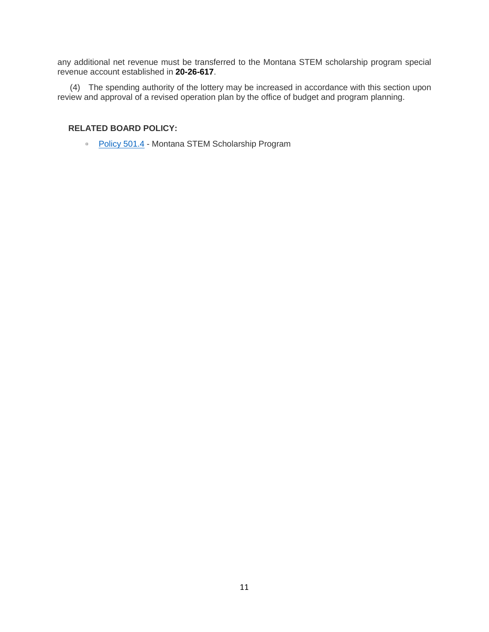any additional net revenue must be transferred to the Montana STEM scholarship program special revenue account established in **[20-26-617](http://leg.mt.gov/bills/mca/title_0200/chapter_0260/part_0060/section_0170/0200-0260-0060-0170.html)**.

(4) The spending authority of the lottery may be increased in accordance with this section upon review and approval of a revised operation plan by the office of budget and program planning.

### **RELATED BOARD POLICY:**

□ [Policy 501.4](http://mus.edu/borpol/bor500/501-4.pdf) - Montana STEM Scholarship Program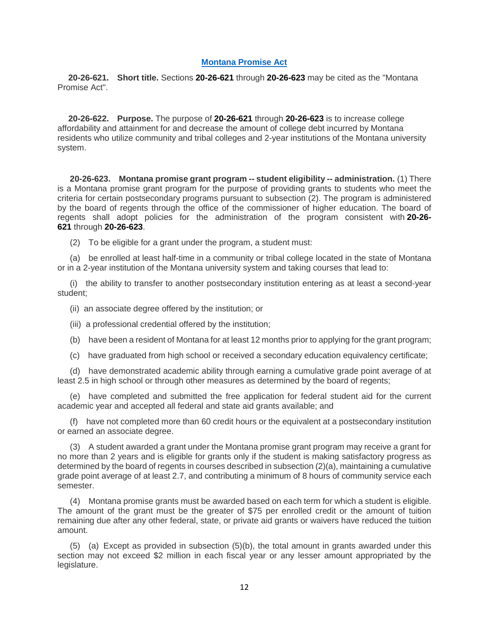## <span id="page-11-0"></span>**[Montana Promise Act](#page-0-6)**

**20-26-621. Short title.** Sections **[20-26-621](http://leg.mt.gov/bills/mca/title_0200/chapter_0260/part_0060/section_0210/None)** through **[20-26-623](http://leg.mt.gov/bills/mca/title_0200/chapter_0260/part_0060/section_0230/0200-0260-0060-0230.html)** may be cited as the "Montana Promise Act".

**20-26-622. Purpose.** The purpose of **[20-26-621](http://leg.mt.gov/bills/mca/title_0200/chapter_0260/part_0060/section_0210/0200-0260-0060-0210.html)** through **[20-26-623](http://leg.mt.gov/bills/mca/title_0200/chapter_0260/part_0060/section_0230/0200-0260-0060-0230.html)** is to increase college affordability and attainment for and decrease the amount of college debt incurred by Montana residents who utilize community and tribal colleges and 2-year institutions of the Montana university system.

**20-26-623. Montana promise grant program -- student eligibility -- administration.** (1) There is a Montana promise grant program for the purpose of providing grants to students who meet the criteria for certain postsecondary programs pursuant to subsection (2). The program is administered by the board of regents through the office of the commissioner of higher education. The board of regents shall adopt policies for the administration of the program consistent with **[20-26-](http://leg.mt.gov/bills/mca/title_0200/chapter_0260/part_0060/section_0210/0200-0260-0060-0210.html) [621](http://leg.mt.gov/bills/mca/title_0200/chapter_0260/part_0060/section_0210/0200-0260-0060-0210.html)** through **[20-26-623](http://leg.mt.gov/bills/mca/title_0200/chapter_0260/part_0060/section_0230/None)**.

(2) To be eligible for a grant under the program, a student must:

(a) be enrolled at least half-time in a community or tribal college located in the state of Montana or in a 2-year institution of the Montana university system and taking courses that lead to:

(i) the ability to transfer to another postsecondary institution entering as at least a second-year student;

(ii) an associate degree offered by the institution; or

- (iii) a professional credential offered by the institution;
- (b) have been a resident of Montana for at least 12 months prior to applying for the grant program;
- (c) have graduated from high school or received a secondary education equivalency certificate;

(d) have demonstrated academic ability through earning a cumulative grade point average of at least 2.5 in high school or through other measures as determined by the board of regents;

(e) have completed and submitted the free application for federal student aid for the current academic year and accepted all federal and state aid grants available; and

(f) have not completed more than 60 credit hours or the equivalent at a postsecondary institution or earned an associate degree.

(3) A student awarded a grant under the Montana promise grant program may receive a grant for no more than 2 years and is eligible for grants only if the student is making satisfactory progress as determined by the board of regents in courses described in subsection (2)(a), maintaining a cumulative grade point average of at least 2.7, and contributing a minimum of 8 hours of community service each semester.

(4) Montana promise grants must be awarded based on each term for which a student is eligible. The amount of the grant must be the greater of \$75 per enrolled credit or the amount of tuition remaining due after any other federal, state, or private aid grants or waivers have reduced the tuition amount.

(5) (a) Except as provided in subsection (5)(b), the total amount in grants awarded under this section may not exceed \$2 million in each fiscal year or any lesser amount appropriated by the legislature.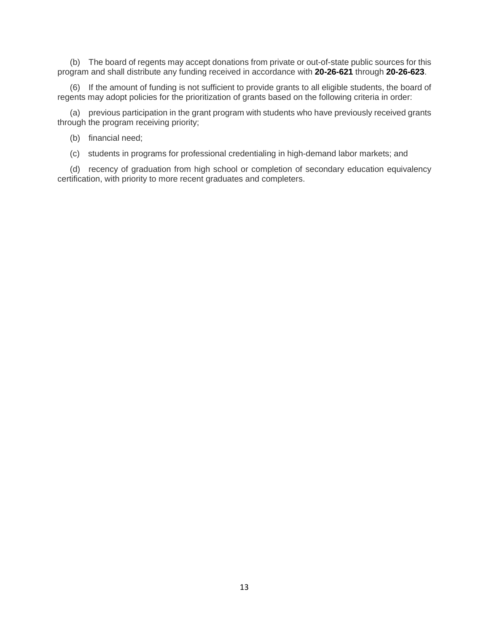(b) The board of regents may accept donations from private or out-of-state public sources for this program and shall distribute any funding received in accordance with **[20-26-621](http://leg.mt.gov/bills/mca/title_0200/chapter_0260/part_0060/section_0210/0200-0260-0060-0210.html)** through **[20-26-623](http://leg.mt.gov/bills/mca/title_0200/chapter_0260/part_0060/section_0230/None)**.

(6) If the amount of funding is not sufficient to provide grants to all eligible students, the board of regents may adopt policies for the prioritization of grants based on the following criteria in order:

(a) previous participation in the grant program with students who have previously received grants through the program receiving priority;

(b) financial need;

(c) students in programs for professional credentialing in high-demand labor markets; and

(d) recency of graduation from high school or completion of secondary education equivalency certification, with priority to more recent graduates and completers.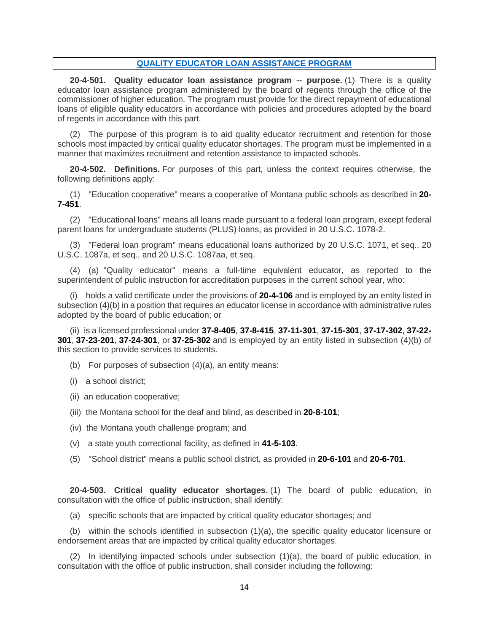### <span id="page-13-0"></span>**[QUALITY EDUCATOR LOAN ASSISTANCE PROGRAM](#page-0-7)**

**20-4-501. Quality educator loan assistance program -- purpose.** (1) There is a quality educator loan assistance program administered by the board of regents through the office of the commissioner of higher education. The program must provide for the direct repayment of educational loans of eligible quality educators in accordance with policies and procedures adopted by the board of regents in accordance with this part.

(2) The purpose of this program is to aid quality educator recruitment and retention for those schools most impacted by critical quality educator shortages. The program must be implemented in a manner that maximizes recruitment and retention assistance to impacted schools.

**20-4-502. Definitions.** For purposes of this part, unless the context requires otherwise, the following definitions apply:

(1) "Education cooperative" means a cooperative of Montana public schools as described in **[20-](http://leg.mt.gov/bills/mca/title_0200/chapter_0070/part_0040/section_0510/0200-0070-0040-0510.html) [7-451](http://leg.mt.gov/bills/mca/title_0200/chapter_0070/part_0040/section_0510/0200-0070-0040-0510.html)**.

(2) "Educational loans" means all loans made pursuant to a federal loan program, except federal parent loans for undergraduate students (PLUS) loans, as provided in 20 U.S.C. 1078-2.

(3) "Federal loan program" means educational loans authorized by 20 U.S.C. 1071, et seq., 20 U.S.C. 1087a, et seq., and 20 U.S.C. 1087aa, et seq.

(4) (a) "Quality educator" means a full-time equivalent educator, as reported to the superintendent of public instruction for accreditation purposes in the current school year, who:

(i) holds a valid certificate under the provisions of **[20-4-106](http://leg.mt.gov/bills/mca/title_0200/chapter_0040/part_0010/section_0060/0200-0040-0010-0060.html)** and is employed by an entity listed in subsection (4)(b) in a position that requires an educator license in accordance with administrative rules adopted by the board of public education; or

(ii) is a licensed professional under **[37-8-405](http://leg.mt.gov/bills/mca/title_0370/chapter_0080/part_0040/section_0050/0370-0080-0040-0050.html)**, **[37-8-415](http://leg.mt.gov/bills/mca/title_0370/chapter_0080/part_0040/section_0150/0370-0080-0040-0150.html)**, **[37-11-301](http://leg.mt.gov/bills/mca/title_0370/chapter_0110/part_0030/section_0010/0370-0110-0030-0010.html)**, **[37-15-301](http://leg.mt.gov/bills/mca/title_0370/chapter_0150/part_0030/section_0010/0370-0150-0030-0010.html)**, **[37-17-302](http://leg.mt.gov/bills/mca/title_0370/chapter_0170/part_0030/section_0020/0370-0170-0030-0020.html)**, **[37-22-](http://leg.mt.gov/bills/mca/title_0370/chapter_0220/part_0030/section_0010/0370-0220-0030-0010.html) [301](http://leg.mt.gov/bills/mca/title_0370/chapter_0220/part_0030/section_0010/0370-0220-0030-0010.html)**, **[37-23-201](http://leg.mt.gov/bills/mca/title_0370/chapter_0230/part_0020/section_0010/0370-0230-0020-0010.html)**, **[37-24-301](http://leg.mt.gov/bills/mca/title_0370/chapter_0240/part_0030/section_0010/0370-0240-0030-0010.html)**, or **[37-25-302](http://leg.mt.gov/bills/mca/title_0370/chapter_0250/part_0030/section_0020/0370-0250-0030-0020.html)** and is employed by an entity listed in subsection (4)(b) of this section to provide services to students.

- (b) For purposes of subsection (4)(a), an entity means:
- (i) a school district;
- (ii) an education cooperative;
- (iii) the Montana school for the deaf and blind, as described in **[20-8-101](http://leg.mt.gov/bills/mca/title_0200/chapter_0080/part_0010/section_0010/0200-0080-0010-0010.html)**;
- (iv) the Montana youth challenge program; and
- (v) a state youth correctional facility, as defined in **[41-5-103](http://leg.mt.gov/bills/mca/title_0410/chapter_0050/part_0010/section_0030/0410-0050-0010-0030.html)**.
- (5) "School district" means a public school district, as provided in **[20-6-101](http://leg.mt.gov/bills/mca/title_0200/chapter_0060/part_0010/section_0010/0200-0060-0010-0010.html)** and **[20-6-701](http://leg.mt.gov/bills/mca/title_0200/chapter_0060/part_0070/section_0010/0200-0060-0070-0010.html)**.

**20-4-503. Critical quality educator shortages.** (1) The board of public education, in consultation with the office of public instruction, shall identify:

(a) specific schools that are impacted by critical quality educator shortages; and

(b) within the schools identified in subsection (1)(a), the specific quality educator licensure or endorsement areas that are impacted by critical quality educator shortages.

(2) In identifying impacted schools under subsection (1)(a), the board of public education, in consultation with the office of public instruction, shall consider including the following: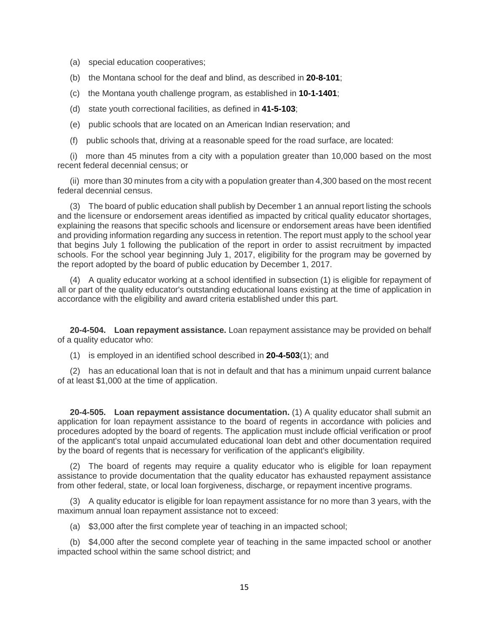- (a) special education cooperatives;
- (b) the Montana school for the deaf and blind, as described in **[20-8-101](http://leg.mt.gov/bills/mca/title_0200/chapter_0080/part_0010/section_0010/0200-0080-0010-0010.html)**;
- (c) the Montana youth challenge program, as established in **[10-1-1401](http://leg.mt.gov/bills/mca/title_0100/chapter_0010/part_0140/section_0010/0100-0010-0140-0010.html)**;
- (d) state youth correctional facilities, as defined in **[41-5-103](http://leg.mt.gov/bills/mca/title_0410/chapter_0050/part_0010/section_0030/0410-0050-0010-0030.html)**;
- (e) public schools that are located on an American Indian reservation; and
- (f) public schools that, driving at a reasonable speed for the road surface, are located:

(i) more than 45 minutes from a city with a population greater than 10,000 based on the most recent federal decennial census; or

(ii) more than 30 minutes from a city with a population greater than 4,300 based on the most recent federal decennial census.

(3) The board of public education shall publish by December 1 an annual report listing the schools and the licensure or endorsement areas identified as impacted by critical quality educator shortages, explaining the reasons that specific schools and licensure or endorsement areas have been identified and providing information regarding any success in retention. The report must apply to the school year that begins July 1 following the publication of the report in order to assist recruitment by impacted schools. For the school year beginning July 1, 2017, eligibility for the program may be governed by the report adopted by the board of public education by December 1, 2017.

(4) A quality educator working at a school identified in subsection (1) is eligible for repayment of all or part of the quality educator's outstanding educational loans existing at the time of application in accordance with the eligibility and award criteria established under this part.

**20-4-504. Loan repayment assistance.** Loan repayment assistance may be provided on behalf of a quality educator who:

(1) is employed in an identified school described in **[20-4-503](http://leg.mt.gov/bills/mca/title_0200/chapter_0040/part_0050/section_0030/0200-0040-0050-0030.html)**(1); and

(2) has an educational loan that is not in default and that has a minimum unpaid current balance of at least \$1,000 at the time of application.

**20-4-505. Loan repayment assistance documentation.** (1) A quality educator shall submit an application for loan repayment assistance to the board of regents in accordance with policies and procedures adopted by the board of regents. The application must include official verification or proof of the applicant's total unpaid accumulated educational loan debt and other documentation required by the board of regents that is necessary for verification of the applicant's eligibility.

(2) The board of regents may require a quality educator who is eligible for loan repayment assistance to provide documentation that the quality educator has exhausted repayment assistance from other federal, state, or local loan forgiveness, discharge, or repayment incentive programs.

(3) A quality educator is eligible for loan repayment assistance for no more than 3 years, with the maximum annual loan repayment assistance not to exceed:

(a) \$3,000 after the first complete year of teaching in an impacted school;

(b) \$4,000 after the second complete year of teaching in the same impacted school or another impacted school within the same school district; and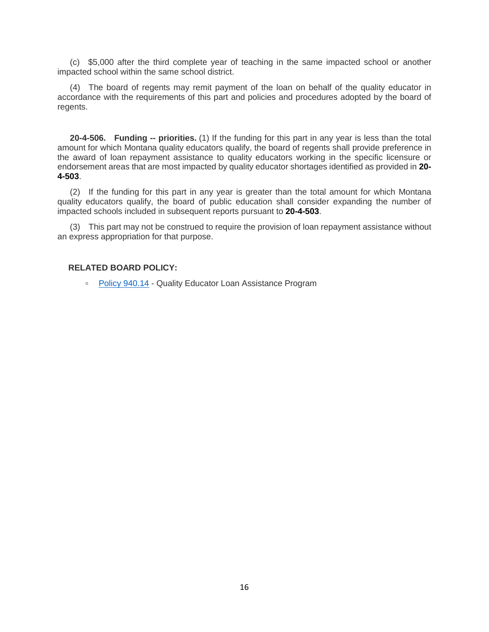(c) \$5,000 after the third complete year of teaching in the same impacted school or another impacted school within the same school district.

(4) The board of regents may remit payment of the loan on behalf of the quality educator in accordance with the requirements of this part and policies and procedures adopted by the board of regents.

**20-4-506. Funding -- priorities.** (1) If the funding for this part in any year is less than the total amount for which Montana quality educators qualify, the board of regents shall provide preference in the award of loan repayment assistance to quality educators working in the specific licensure or endorsement areas that are most impacted by quality educator shortages identified as provided in **[20-](http://leg.mt.gov/bills/mca/title_0200/chapter_0040/part_0050/section_0030/0200-0040-0050-0030.html) [4-503](http://leg.mt.gov/bills/mca/title_0200/chapter_0040/part_0050/section_0030/0200-0040-0050-0030.html)**.

(2) If the funding for this part in any year is greater than the total amount for which Montana quality educators qualify, the board of public education shall consider expanding the number of impacted schools included in subsequent reports pursuant to **[20-4-503](http://leg.mt.gov/bills/mca/title_0200/chapter_0040/part_0050/section_0030/0200-0040-0050-0030.html)**.

(3) This part may not be construed to require the provision of loan repayment assistance without an express appropriation for that purpose.

## **RELATED BOARD POLICY:**

▫ [Policy 940.14](http://mus.edu/borpol/bor900/940-14.pdf) - Quality Educator Loan Assistance Program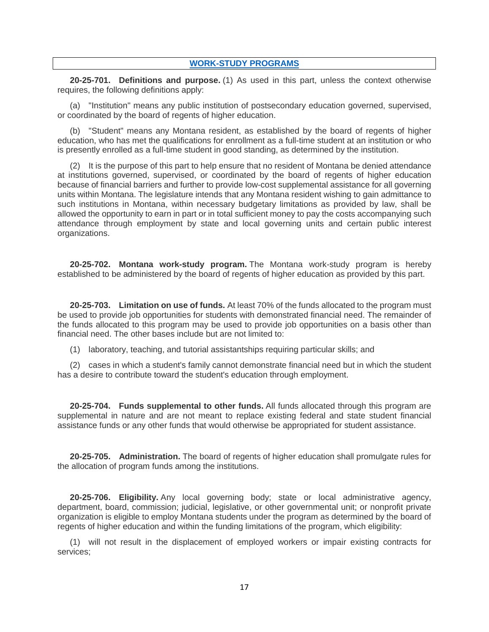### <span id="page-16-0"></span>**[WORK-STUDY PROGRAMS](#page-0-8)**

**20-25-701. Definitions and purpose.** (1) As used in this part, unless the context otherwise requires, the following definitions apply:

(a) "Institution" means any public institution of postsecondary education governed, supervised, or coordinated by the board of regents of higher education.

(b) "Student" means any Montana resident, as established by the board of regents of higher education, who has met the qualifications for enrollment as a full-time student at an institution or who is presently enrolled as a full-time student in good standing, as determined by the institution.

(2) It is the purpose of this part to help ensure that no resident of Montana be denied attendance at institutions governed, supervised, or coordinated by the board of regents of higher education because of financial barriers and further to provide low-cost supplemental assistance for all governing units within Montana. The legislature intends that any Montana resident wishing to gain admittance to such institutions in Montana, within necessary budgetary limitations as provided by law, shall be allowed the opportunity to earn in part or in total sufficient money to pay the costs accompanying such attendance through employment by state and local governing units and certain public interest organizations.

**20-25-702. Montana work-study program.** The Montana work-study program is hereby established to be administered by the board of regents of higher education as provided by this part.

**20-25-703. Limitation on use of funds.** At least 70% of the funds allocated to the program must be used to provide job opportunities for students with demonstrated financial need. The remainder of the funds allocated to this program may be used to provide job opportunities on a basis other than financial need. The other bases include but are not limited to:

(1) laboratory, teaching, and tutorial assistantships requiring particular skills; and

(2) cases in which a student's family cannot demonstrate financial need but in which the student has a desire to contribute toward the student's education through employment.

**20-25-704. Funds supplemental to other funds.** All funds allocated through this program are supplemental in nature and are not meant to replace existing federal and state student financial assistance funds or any other funds that would otherwise be appropriated for student assistance.

**20-25-705. Administration.** The board of regents of higher education shall promulgate rules for the allocation of program funds among the institutions.

**20-25-706. Eligibility.** Any local governing body; state or local administrative agency, department, board, commission; judicial, legislative, or other governmental unit; or nonprofit private organization is eligible to employ Montana students under the program as determined by the board of regents of higher education and within the funding limitations of the program, which eligibility:

(1) will not result in the displacement of employed workers or impair existing contracts for services;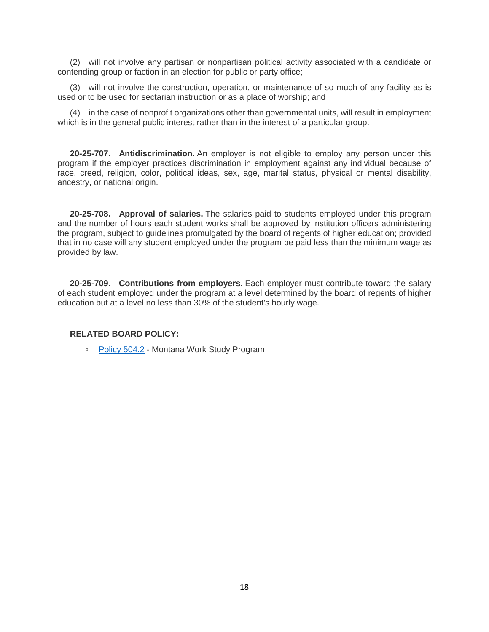(2) will not involve any partisan or nonpartisan political activity associated with a candidate or contending group or faction in an election for public or party office;

(3) will not involve the construction, operation, or maintenance of so much of any facility as is used or to be used for sectarian instruction or as a place of worship; and

(4) in the case of nonprofit organizations other than governmental units, will result in employment which is in the general public interest rather than in the interest of a particular group.

**20-25-707. Antidiscrimination.** An employer is not eligible to employ any person under this program if the employer practices discrimination in employment against any individual because of race, creed, religion, color, political ideas, sex, age, marital status, physical or mental disability, ancestry, or national origin.

**20-25-708. Approval of salaries.** The salaries paid to students employed under this program and the number of hours each student works shall be approved by institution officers administering the program, subject to guidelines promulgated by the board of regents of higher education; provided that in no case will any student employed under the program be paid less than the minimum wage as provided by law.

**20-25-709. Contributions from employers.** Each employer must contribute toward the salary of each student employed under the program at a level determined by the board of regents of higher education but at a level no less than 30% of the student's hourly wage.

#### **RELATED BOARD POLICY:**

▫ [Policy 504.2](http://mus.edu/borpol/bor500/504-2.pdf) - Montana Work Study Program